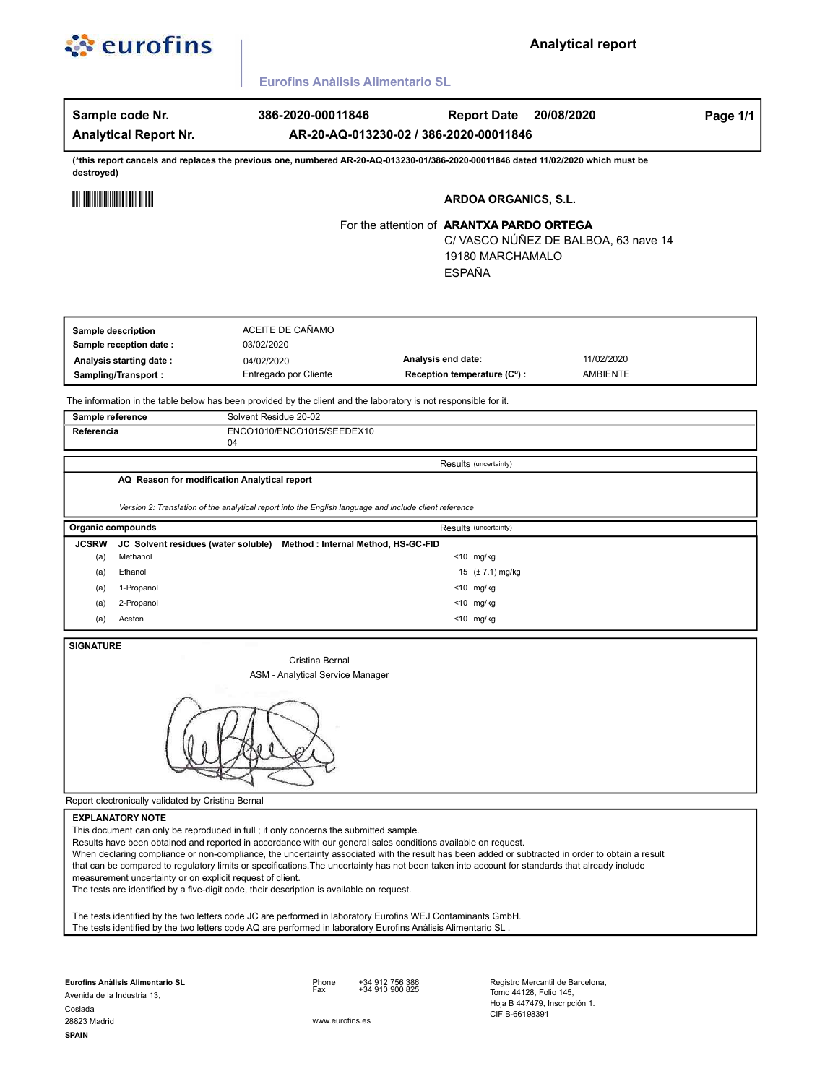

## **Analytical report**

Eurofins Anàlisis Alimentario SL

| Sample code Nr.                                                                      | 386-2020-00011846                                                                                                                                                                 | <b>Report Date</b>                                                                                                                                                                                                                                                                                                                                                                                                   | 20/08/2020                    | Page 1/1 |
|--------------------------------------------------------------------------------------|-----------------------------------------------------------------------------------------------------------------------------------------------------------------------------------|----------------------------------------------------------------------------------------------------------------------------------------------------------------------------------------------------------------------------------------------------------------------------------------------------------------------------------------------------------------------------------------------------------------------|-------------------------------|----------|
| <b>Analytical Report Nr.</b>                                                         |                                                                                                                                                                                   | AR-20-AQ-013230-02 / 386-2020-00011846                                                                                                                                                                                                                                                                                                                                                                               |                               |          |
| destroyed)                                                                           |                                                                                                                                                                                   | (*this report cancels and replaces the previous one, numbered AR-20-AQ-013230-01/386-2020-00011846 dated 11/02/2020 which must be                                                                                                                                                                                                                                                                                    |                               |          |
| <u> Hilli Hilli Hilli Hilli</u>                                                      |                                                                                                                                                                                   | <b>ARDOA ORGANICS, S.L.</b>                                                                                                                                                                                                                                                                                                                                                                                          |                               |          |
|                                                                                      | For the attention of <b>ARANTXA PARDO ORTEGA</b><br>C/ VASCO NÚÑEZ DE BALBOA, 63 nave 14<br>19180 MARCHAMALO<br><b>ESPAÑA</b>                                                     |                                                                                                                                                                                                                                                                                                                                                                                                                      |                               |          |
| Sample description<br>Sample reception date :                                        | ACEITE DE CAÑAMO<br>03/02/2020                                                                                                                                                    |                                                                                                                                                                                                                                                                                                                                                                                                                      |                               |          |
| Analysis starting date:<br>Sampling/Transport:                                       | 04/02/2020<br>Entregado por Cliente                                                                                                                                               | Analysis end date:<br>Reception temperature (C°) :                                                                                                                                                                                                                                                                                                                                                                   | 11/02/2020<br><b>AMBIENTE</b> |          |
|                                                                                      | The information in the table below has been provided by the client and the laboratory is not responsible for it.                                                                  |                                                                                                                                                                                                                                                                                                                                                                                                                      |                               |          |
| Sample reference                                                                     | Solvent Residue 20-02                                                                                                                                                             |                                                                                                                                                                                                                                                                                                                                                                                                                      |                               |          |
| Referencia                                                                           | ENCO1010/ENCO1015/SEEDEX10<br>04                                                                                                                                                  |                                                                                                                                                                                                                                                                                                                                                                                                                      |                               |          |
|                                                                                      |                                                                                                                                                                                   | Results (uncertainty)                                                                                                                                                                                                                                                                                                                                                                                                |                               |          |
| Organic compounds                                                                    | Version 2: Translation of the analytical report into the English language and include client reference                                                                            | Results (uncertainty)                                                                                                                                                                                                                                                                                                                                                                                                |                               |          |
| <b>JCSRW</b><br>JC Solvent residues (water soluble)                                  |                                                                                                                                                                                   |                                                                                                                                                                                                                                                                                                                                                                                                                      |                               |          |
| Methanol<br>(a)                                                                      |                                                                                                                                                                                   | Method : Internal Method, HS-GC-FID                                                                                                                                                                                                                                                                                                                                                                                  |                               |          |
| Ethanol<br>(a)                                                                       |                                                                                                                                                                                   | $<$ 10 mg/kg<br>15 (± 7.1) mg/kg                                                                                                                                                                                                                                                                                                                                                                                     |                               |          |
| 1-Propanol<br>(a)                                                                    |                                                                                                                                                                                   | <10 mg/kg                                                                                                                                                                                                                                                                                                                                                                                                            |                               |          |
| 2-Propanol<br>(a)                                                                    |                                                                                                                                                                                   | <10 mg/kg                                                                                                                                                                                                                                                                                                                                                                                                            |                               |          |
| Aceton<br>(a)                                                                        |                                                                                                                                                                                   | <10 mg/kg                                                                                                                                                                                                                                                                                                                                                                                                            |                               |          |
| <b>SIGNATURE</b>                                                                     | Cristina Bernal<br><b>ASM - Analytical Service Manager</b>                                                                                                                        |                                                                                                                                                                                                                                                                                                                                                                                                                      |                               |          |
|                                                                                      |                                                                                                                                                                                   |                                                                                                                                                                                                                                                                                                                                                                                                                      |                               |          |
| Report electronically validated by Cristina Bernal                                   |                                                                                                                                                                                   |                                                                                                                                                                                                                                                                                                                                                                                                                      |                               |          |
| <b>EXPLANATORY NOTE</b><br>measurement uncertainty or on explicit request of client. | This document can only be reproduced in full; it only concerns the submitted sample.<br>The tests are identified by a five-digit code, their description is available on request. | Results have been obtained and reported in accordance with our general sales conditions available on request.<br>When declaring compliance or non-compliance, the uncertainty associated with the result has been added or subtracted in order to obtain a result<br>that can be compared to regulatory limits or specifications. The uncertainty has not been taken into account for standards that already include |                               |          |

Eurofins Anàlisis Alimentario SL

Phone<br>Fax +34 912 756 386<br>+34 910 900 825

Avenida de la Industria 13, Coslada 28823 Madrid **SPAIN** 

www.eurofins.es

Registro Mercantil de Barcelona,<br>Tomo 44128, Folio 145,<br>Hoja B 447479, Inscripción 1.<br>CIF B-66198391